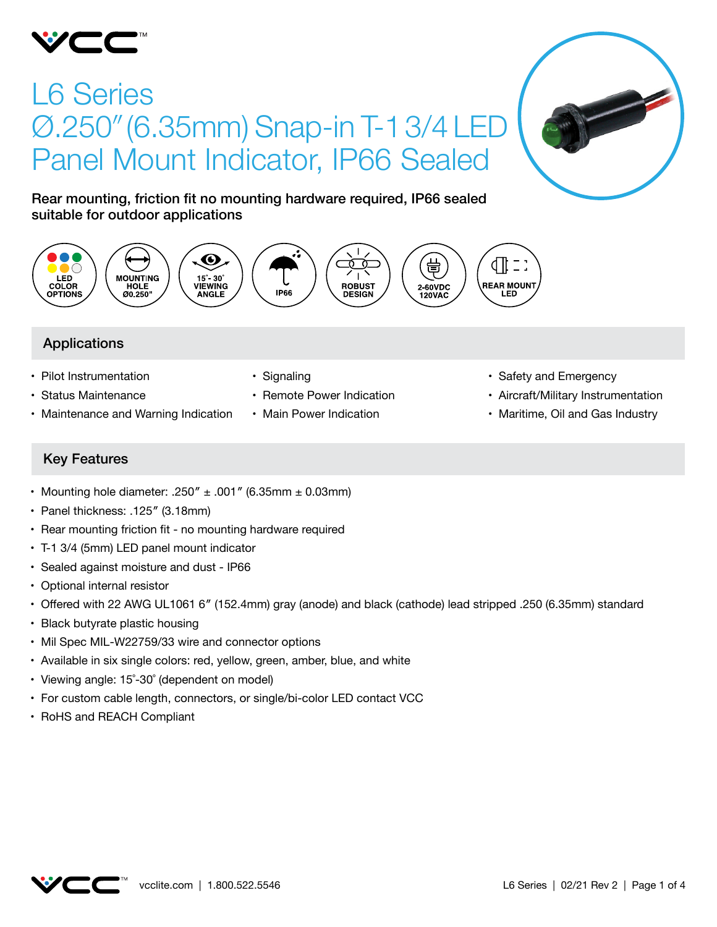

# L6 Series Ø.250" (6.35mm) Snap-in T-1 3/4 LE Panel Mount Indicator, IP66 Sealed



Rear mounting, friction fit no mounting hardware required, IP66 sealed suitable for outdoor applications



# Applications

- Pilot Instrumentation
- • Status Maintenance
- Maintenance and Warning Indication
- Signaling
- Remote Power Indication
- Main Power Indication
- Safety and Emergency
- • Aircraft/Military Instrumentation
- Maritime, Oil and Gas Industry

# Key Features

- Mounting hole diameter: .250"  $\pm$  .001" (6.35mm  $\pm$  0.03mm)
- Panel thickness: .125" (3.18mm)
- Rear mounting friction fit no mounting hardware required
- T-1 3/4 (5mm) LED panel mount indicator
- Sealed against moisture and dust IP66
- Optional internal resistor
- • Offered with 22 AWG UL1061 6″ (152.4mm) gray (anode) and black (cathode) lead stripped .250 (6.35mm) standard
- Black butyrate plastic housing
- Mil Spec MIL-W22759/33 wire and connector options
- Available in six single colors: red, yellow, green, amber, blue, and white
- Viewing angle: 15°-30° (dependent on model)
- For custom cable length, connectors, or single/bi-color LED contact VCC
- • RoHS and REACH Compliant

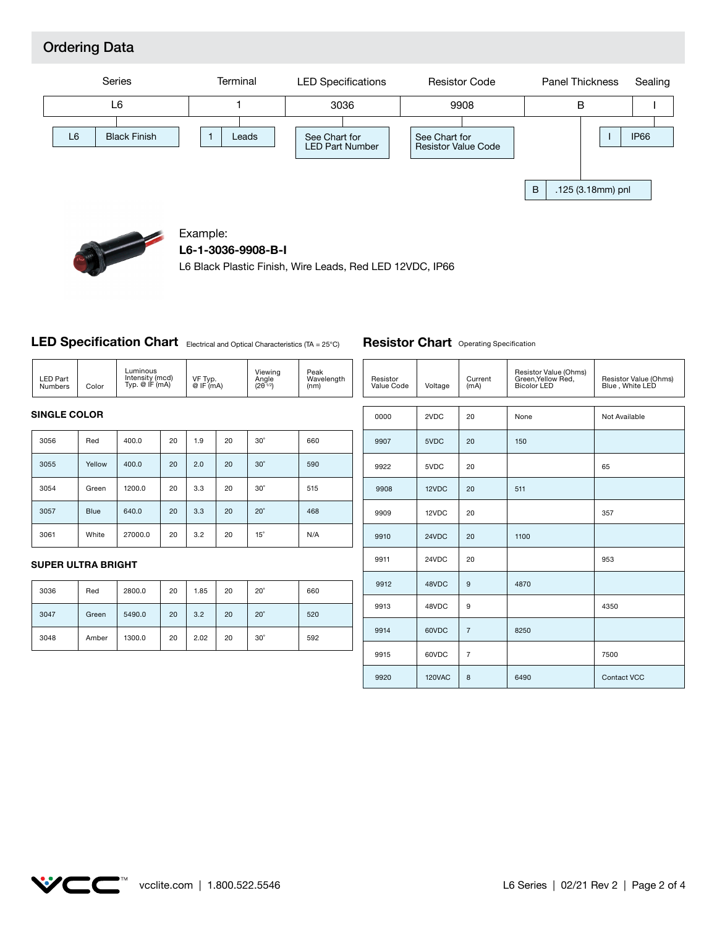# Ordering Data



9913

9914

9915

9920

48VDC

60VDC

60VDC

120VAC

9

7

7

8



#### Example:

**L6-1-3036-9908-B-I**

L6 Black Plastic Finish, Wire Leads, Red LED 12VDC, IP66

#### LED Specification Chart Electrical and Optical Characteristics (TA = 25°C)

| Luminous<br>Intensity (mcd)<br><b>LED Part</b><br>Typ. @ IF (mA)<br>Color<br>Numbers | VF Typ.<br>@IF(mA) | Viewing<br>Angle<br>$(2\theta^{1/2})$ | Peak<br>Wavelength<br>(nm) |
|--------------------------------------------------------------------------------------|--------------------|---------------------------------------|----------------------------|
|--------------------------------------------------------------------------------------|--------------------|---------------------------------------|----------------------------|

#### **SINGLE COLOR**

| 3056 | Red         | 400.0   | 20 | 1.9 | 20 | $30^\circ$ | 660 |
|------|-------------|---------|----|-----|----|------------|-----|
| 3055 | Yellow      | 400.0   | 20 | 2.0 | 20 | $30^\circ$ | 590 |
| 3054 | Green       | 1200.0  | 20 | 3.3 | 20 | $30^\circ$ | 515 |
| 3057 | <b>Blue</b> | 640.0   | 20 | 3.3 | 20 | $20^\circ$ | 468 |
| 3061 | White       | 27000.0 | 20 | 3.2 | 20 | $15^\circ$ | N/A |

#### **SUPER ULTRA BRIGHT**

| 3036 | Red   | 2800.0 | 20 | 1.85 | 20 | $20^\circ$ | 660 |
|------|-------|--------|----|------|----|------------|-----|
| 3047 | Green | 5490.0 | 20 | 3.2  | 20 | $20^\circ$ | 520 |
| 3048 | Amber | 1300.0 | 20 | 2.02 | 20 | $30^\circ$ | 592 |

#### Resistor Value Code Voltage Current (mA) Resistor Value (Ohms) Green,Yellow Red, Bicolor LED Resistor Value (Ohms) Blue , White LED 0000 2VDC 20 None Not Available 9909 12VDC 20 9907 9910 5VDC 24VDC 20 20 150 1100 9922 9911 5VDC 24VDC 20 20 9908 9912 12VDC 48VDC 20 9 511 4870 357 65 953

8250

**Resistor Chart** Operating Specification



6490 Contact VCC

4350

7500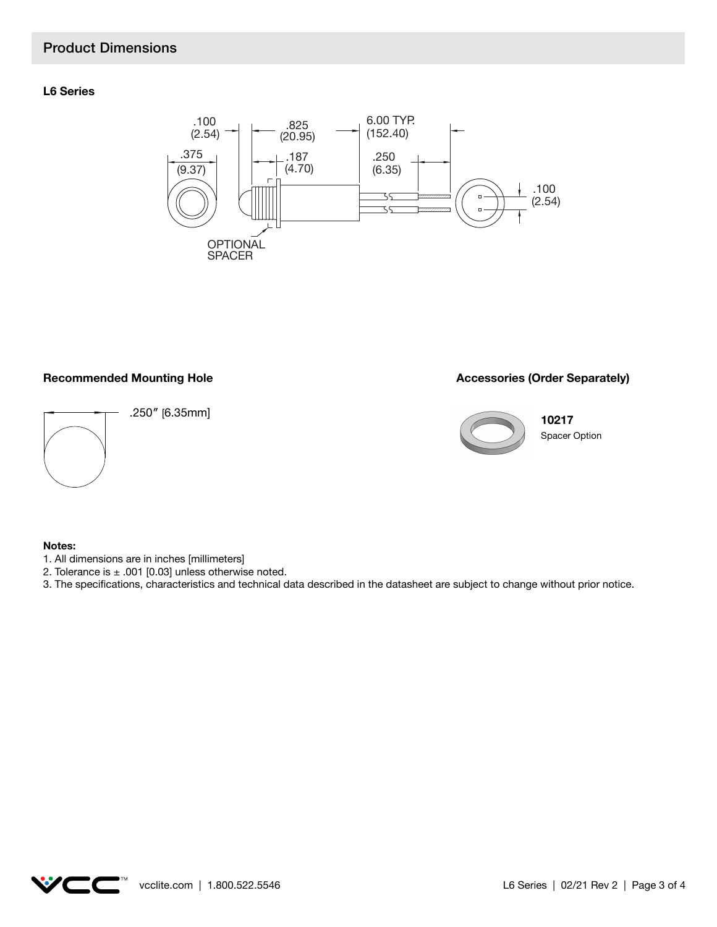# Product Dimensions

#### **L6 Series**



#### Recommended Mounting Hole **Accessories (Order Separately) Recommended Mounting Hole**



.250″ [6.35mm]

**10217**



Spacer Option

#### **Notes:**

- 1. All dimensions are in inches [millimeters]
- 2. Tolerance is  $\pm$  .001 [0.03] unless otherwise noted.
- 3. The specifications, characteristics and technical data described in the datasheet are subject to change without prior notice.